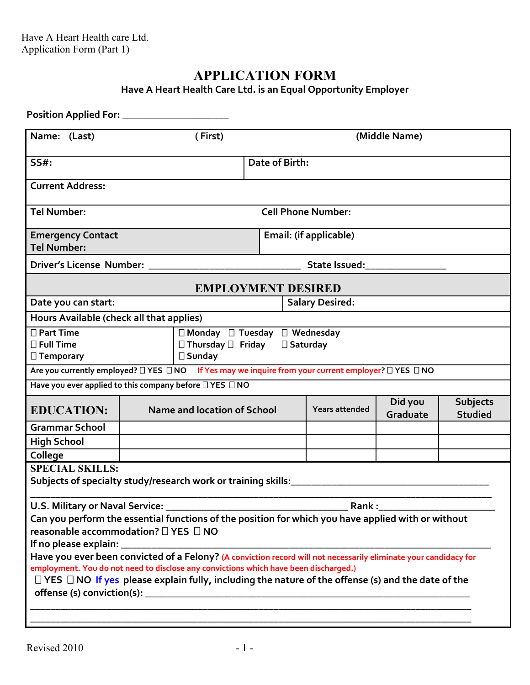## **APPLICATION FORM**

**Have A Heart Health Care Ltd. is an Equal Opportunity Employer**

| Name: (Last)                                             | (First)                                                                                                                                                                                                                                                                                                                   | (Middle Name)  |                           |                     |                                   |
|----------------------------------------------------------|---------------------------------------------------------------------------------------------------------------------------------------------------------------------------------------------------------------------------------------------------------------------------------------------------------------------------|----------------|---------------------------|---------------------|-----------------------------------|
| $SS#$ :                                                  |                                                                                                                                                                                                                                                                                                                           | Date of Birth: |                           |                     |                                   |
| <b>Current Address:</b>                                  |                                                                                                                                                                                                                                                                                                                           |                |                           |                     |                                   |
| <b>Tel Number:</b>                                       |                                                                                                                                                                                                                                                                                                                           |                | <b>Cell Phone Number:</b> |                     |                                   |
| <b>Emergency Contact</b>                                 | Email: (if applicable)                                                                                                                                                                                                                                                                                                    |                |                           |                     |                                   |
| <b>Tel Number:</b>                                       |                                                                                                                                                                                                                                                                                                                           |                |                           |                     |                                   |
|                                                          |                                                                                                                                                                                                                                                                                                                           |                |                           |                     |                                   |
|                                                          | <b>EMPLOYMENT DESIRED</b>                                                                                                                                                                                                                                                                                                 |                |                           |                     |                                   |
| Date you can start:                                      |                                                                                                                                                                                                                                                                                                                           |                | <b>Salary Desired:</b>    |                     |                                   |
| Hours Available (check all that applies)                 |                                                                                                                                                                                                                                                                                                                           |                |                           |                     |                                   |
| $\Box$ Part Time<br>$\Box$ Full Time<br>$\Box$ Temporary | $\Box$ Monday $\Box$ Tuesday $\Box$ Wednesday<br>$\Box$ Thursday $\Box$ Friday $\Box$ Saturday<br>$\square$ Sunday                                                                                                                                                                                                        |                |                           |                     |                                   |
|                                                          | Are you currently employed? □ YES □ NO If Yes may we inquire from your current employer? □ YES □ NO                                                                                                                                                                                                                       |                |                           |                     |                                   |
|                                                          | Have you ever applied to this company before $\square$ YES $\square$ NO                                                                                                                                                                                                                                                   |                |                           |                     |                                   |
| <b>EDUCATION:</b>                                        | Name and location of School                                                                                                                                                                                                                                                                                               |                | Years attended            | Did you<br>Graduate | <b>Subjects</b><br><b>Studied</b> |
| <b>Grammar School</b>                                    |                                                                                                                                                                                                                                                                                                                           |                |                           |                     |                                   |
| <b>High School</b>                                       |                                                                                                                                                                                                                                                                                                                           |                |                           |                     |                                   |
| College                                                  |                                                                                                                                                                                                                                                                                                                           |                |                           |                     |                                   |
| <b>SPECIAL SKILLS:</b>                                   | Subjects of specialty study/research work or training skills:____________________                                                                                                                                                                                                                                         |                |                           |                     |                                   |
| reasonable accommodation? □ YES □ NO                     | Can you perform the essential functions of the position for which you have applied with or without                                                                                                                                                                                                                        |                |                           |                     |                                   |
| If no please explain: _                                  |                                                                                                                                                                                                                                                                                                                           |                |                           |                     |                                   |
|                                                          | Have you ever been convicted of a Felony? (A conviction record will not necessarily eliminate your candidacy for<br>employment. You do not need to disclose any convictions which have been discharged.)<br>$\Box$ YES $\Box$ NO If yes please explain fully, including the nature of the offense (s) and the date of the |                |                           |                     |                                   |